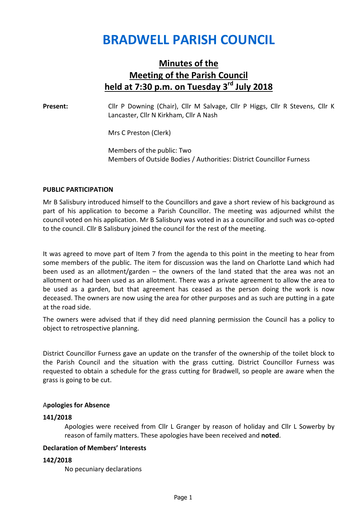# BRADWELL PARISH COUNCIL

# Minutes of the Meeting of the Parish Council held at  $7:30$  p.m. on Tuesday  $3^{rd}$  July 2018

Present: Cllr P Downing (Chair), Cllr M Salvage, Cllr P Higgs, Cllr R Stevens, Cllr K Lancaster, Cllr N Kirkham, Cllr A Nash

Mrs C Preston (Clerk)

Members of the public: Two Members of Outside Bodies / Authorities: District Councillor Furness

#### PUBLIC PARTICIPATION

Mr B Salisbury introduced himself to the Councillors and gave a short review of his background as part of his application to become a Parish Councillor. The meeting was adjourned whilst the council voted on his application. Mr B Salisbury was voted in as a councillor and such was co-opted to the council. Cllr B Salisbury joined the council for the rest of the meeting.

It was agreed to move part of Item 7 from the agenda to this point in the meeting to hear from some members of the public. The item for discussion was the land on Charlotte Land which had been used as an allotment/garden – the owners of the land stated that the area was not an allotment or had been used as an allotment. There was a private agreement to allow the area to be used as a garden, but that agreement has ceased as the person doing the work is now deceased. The owners are now using the area for other purposes and as such are putting in a gate at the road side.

The owners were advised that if they did need planning permission the Council has a policy to object to retrospective planning.

District Councillor Furness gave an update on the transfer of the ownership of the toilet block to the Parish Council and the situation with the grass cutting. District Councillor Furness was requested to obtain a schedule for the grass cutting for Bradwell, so people are aware when the grass is going to be cut.

#### Apologies for Absence

#### 141/2018

 Apologies were received from Cllr L Granger by reason of holiday and Cllr L Sowerby by reason of family matters. These apologies have been received and noted.

# Declaration of Members' Interests

#### 142/2018

No pecuniary declarations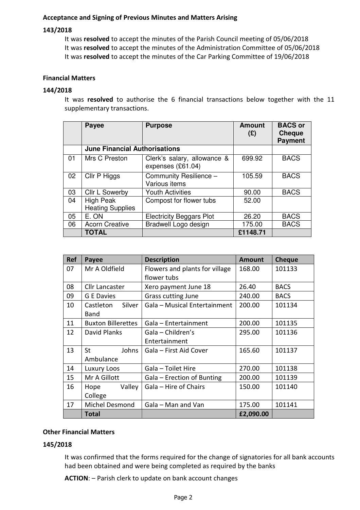# Acceptance and Signing of Previous Minutes and Matters Arising

# 143/2018

It was resolved to accept the minutes of the Parish Council meeting of 05/06/2018 It was resolved to accept the minutes of the Administration Committee of 05/06/2018 It was resolved to accept the minutes of the Car Parking Committee of 19/06/2018

# Financial Matters

# 144/2018

It was resolved to authorise the 6 financial transactions below together with the 11 supplementary transactions.

|    | <b>Payee</b>                         | <b>Purpose</b>                                   | <b>Amount</b><br>$(\mathfrak{L})$ | <b>BACS or</b><br><b>Cheque</b><br><b>Payment</b> |
|----|--------------------------------------|--------------------------------------------------|-----------------------------------|---------------------------------------------------|
|    | <b>June Financial Authorisations</b> |                                                  |                                   |                                                   |
| 01 | Mrs C Preston                        | Clerk's salary, allowance &<br>expenses (£61.04) | 699.92                            | <b>BACS</b>                                       |
| 02 | Cllr P Higgs                         | Community Resilience -<br>Various items          | 105.59                            | <b>BACS</b>                                       |
| 03 | Cllr L Sowerby                       | <b>Youth Activities</b>                          | 90.00                             | <b>BACS</b>                                       |
| 04 | High Peak<br><b>Heating Supplies</b> | Compost for flower tubs                          | 52.00                             |                                                   |
| 05 | E. ON                                | <b>Electricity Beggars Plot</b>                  | 26.20                             | <b>BACS</b>                                       |
| 06 | <b>Acorn Creative</b>                | Bradwell Logo design                             | 175.00                            | <b>BACS</b>                                       |
|    | <b>TOTAL</b>                         |                                                  | £1148.71                          |                                                   |

| <b>Ref</b> | Payee                     | <b>Description</b>             | <b>Amount</b> | <b>Cheque</b> |
|------------|---------------------------|--------------------------------|---------------|---------------|
| 07         | Mr A Oldfield             | Flowers and plants for village | 168.00        | 101133        |
|            |                           | flower tubs                    |               |               |
| 08         | Cllr Lancaster            | Xero payment June 18           | 26.40         | <b>BACS</b>   |
| 09         | <b>G</b> E Davies         | <b>Grass cutting June</b>      | 240.00        | <b>BACS</b>   |
| 10         | Silver<br>Castleton       | Gala - Musical Entertainment   | 200.00        | 101134        |
|            | Band                      |                                |               |               |
| 11         | <b>Buxton Billerettes</b> | Gala - Entertainment           | 200.00        | 101135        |
| 12         | David Planks              | Gala - Children's              | 295.00        | 101136        |
|            |                           | Entertainment                  |               |               |
| 13         | <b>St</b><br>Johns        | Gala – First Aid Cover         | 165.60        | 101137        |
|            | Ambulance                 |                                |               |               |
| 14         | Luxury Loos               | Gala - Toilet Hire             | 270.00        | 101138        |
| 15         | Mr A Gillott              | Gala – Erection of Bunting     | 200.00        | 101139        |
| 16         | Valley<br>Hope            | Gala - Hire of Chairs          | 150.00        | 101140        |
|            | College                   |                                |               |               |
| 17         | Michel Desmond            | Gala - Man and Van             | 175.00        | 101141        |
|            | Total                     |                                | £2,090.00     |               |

# Other Financial Matters

# 145/2018

It was confirmed that the forms required for the change of signatories for all bank accounts had been obtained and were being completed as required by the banks

ACTION: – Parish clerk to update on bank account changes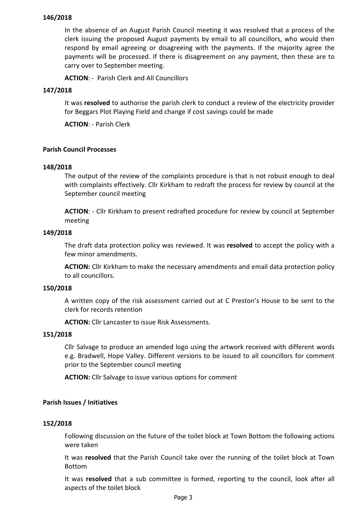# 146/2018

In the absence of an August Parish Council meeting it was resolved that a process of the clerk issuing the proposed August payments by email to all councillors, who would then respond by email agreeing or disagreeing with the payments. If the majority agree the payments will be processed. If there is disagreement on any payment, then these are to carry over to September meeting.

ACTION: - Parish Clerk and All Councillors

# 147/2018

It was resolved to authorise the parish clerk to conduct a review of the electricity provider for Beggars Plot Playing Field and change if cost savings could be made

ACTION: - Parish Clerk

#### Parish Council Processes

#### 148/2018

The output of the review of the complaints procedure is that is not robust enough to deal with complaints effectively. Cllr Kirkham to redraft the process for review by council at the September council meeting

ACTION: - Cllr Kirkham to present redrafted procedure for review by council at September meeting

#### 149/2018

The draft data protection policy was reviewed. It was resolved to accept the policy with a few minor amendments.

ACTION: Cllr Kirkham to make the necessary amendments and email data protection policy to all councillors.

#### 150/2018

A written copy of the risk assessment carried out at C Preston's House to be sent to the clerk for records retention

ACTION: Cllr Lancaster to issue Risk Assessments.

#### 151/2018

Cllr Salvage to produce an amended logo using the artwork received with different words e.g. Bradwell, Hope Valley. Different versions to be issued to all councillors for comment prior to the September council meeting

ACTION: Cllr Salvage to issue various options for comment

# Parish Issues / Initiatives

#### 152/2018

Following discussion on the future of the toilet block at Town Bottom the following actions were taken

It was resolved that the Parish Council take over the running of the toilet block at Town Bottom

It was resolved that a sub committee is formed, reporting to the council, look after all aspects of the toilet block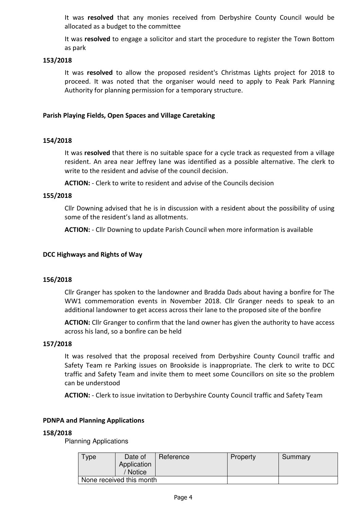It was resolved that any monies received from Derbyshire County Council would be allocated as a budget to the committee

It was resolved to engage a solicitor and start the procedure to register the Town Bottom as park

# 153/2018

It was resolved to allow the proposed resident's Christmas Lights project for 2018 to proceed. It was noted that the organiser would need to apply to Peak Park Planning Authority for planning permission for a temporary structure.

# Parish Playing Fields, Open Spaces and Village Caretaking

# 154/2018

It was resolved that there is no suitable space for a cycle track as requested from a village resident. An area near Jeffrey lane was identified as a possible alternative. The clerk to write to the resident and advise of the council decision.

ACTION: - Clerk to write to resident and advise of the Councils decision

#### 155/2018

Cllr Downing advised that he is in discussion with a resident about the possibility of using some of the resident's land as allotments.

ACTION: - Cllr Downing to update Parish Council when more information is available

#### DCC Highways and Rights of Way

#### 156/2018

Cllr Granger has spoken to the landowner and Bradda Dads about having a bonfire for The WW1 commemoration events in November 2018. Cllr Granger needs to speak to an additional landowner to get access across their lane to the proposed site of the bonfire

ACTION: Cllr Granger to confirm that the land owner has given the authority to have access across his land, so a bonfire can be held

#### 157/2018

It was resolved that the proposal received from Derbyshire County Council traffic and Safety Team re Parking issues on Brookside is inappropriate. The clerk to write to DCC traffic and Safety Team and invite them to meet some Councillors on site so the problem can be understood

ACTION: - Clerk to issue invitation to Derbyshire County Council traffic and Safety Team

#### PDNPA and Planning Applications

#### 158/2018

Planning Applications

| Type                     | Date of<br>Application<br>/ Notice | Reference | Property | Summary |
|--------------------------|------------------------------------|-----------|----------|---------|
| None received this month |                                    |           |          |         |